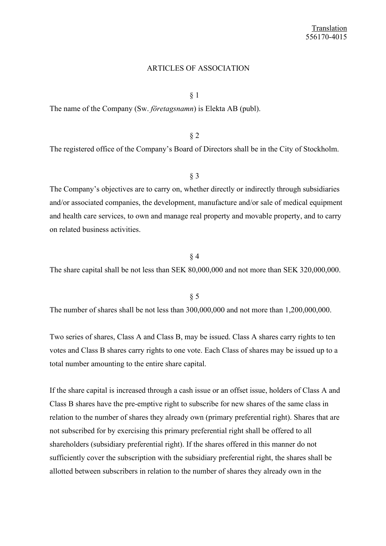### ARTICLES OF ASSOCIATION

§ 1

The name of the Company (Sw. *företagsnamn*) is Elekta AB (publ).

§ 2

The registered office of the Company's Board of Directors shall be in the City of Stockholm.

§ 3

The Company's objectives are to carry on, whether directly or indirectly through subsidiaries and/or associated companies, the development, manufacture and/or sale of medical equipment and health care services, to own and manage real property and movable property, and to carry on related business activities.

### § 4

The share capital shall be not less than SEK 80,000,000 and not more than SEK 320,000,000.

§ 5

The number of shares shall be not less than 300,000,000 and not more than 1,200,000,000.

Two series of shares, Class A and Class B, may be issued. Class A shares carry rights to ten votes and Class B shares carry rights to one vote. Each Class of shares may be issued up to a total number amounting to the entire share capital.

If the share capital is increased through a cash issue or an offset issue, holders of Class A and Class B shares have the pre-emptive right to subscribe for new shares of the same class in relation to the number of shares they already own (primary preferential right). Shares that are not subscribed for by exercising this primary preferential right shall be offered to all shareholders (subsidiary preferential right). If the shares offered in this manner do not sufficiently cover the subscription with the subsidiary preferential right, the shares shall be allotted between subscribers in relation to the number of shares they already own in the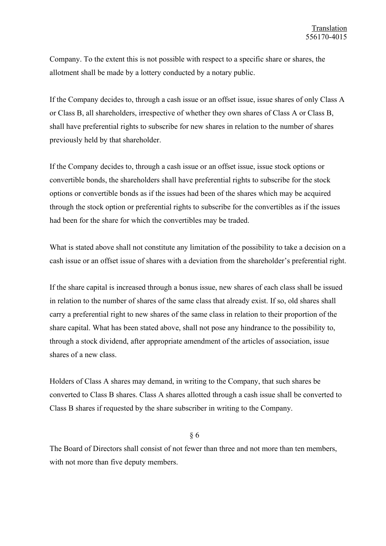Company. To the extent this is not possible with respect to a specific share or shares, the allotment shall be made by a lottery conducted by a notary public.

If the Company decides to, through a cash issue or an offset issue, issue shares of only Class A or Class B, all shareholders, irrespective of whether they own shares of Class A or Class B, shall have preferential rights to subscribe for new shares in relation to the number of shares previously held by that shareholder.

If the Company decides to, through a cash issue or an offset issue, issue stock options or convertible bonds, the shareholders shall have preferential rights to subscribe for the stock options or convertible bonds as if the issues had been of the shares which may be acquired through the stock option or preferential rights to subscribe for the convertibles as if the issues had been for the share for which the convertibles may be traded.

What is stated above shall not constitute any limitation of the possibility to take a decision on a cash issue or an offset issue of shares with a deviation from the shareholder's preferential right.

If the share capital is increased through a bonus issue, new shares of each class shall be issued in relation to the number of shares of the same class that already exist. If so, old shares shall carry a preferential right to new shares of the same class in relation to their proportion of the share capital. What has been stated above, shall not pose any hindrance to the possibility to, through a stock dividend, after appropriate amendment of the articles of association, issue shares of a new class.

Holders of Class A shares may demand, in writing to the Company, that such shares be converted to Class B shares. Class A shares allotted through a cash issue shall be converted to Class B shares if requested by the share subscriber in writing to the Company.

§ 6

The Board of Directors shall consist of not fewer than three and not more than ten members, with not more than five deputy members.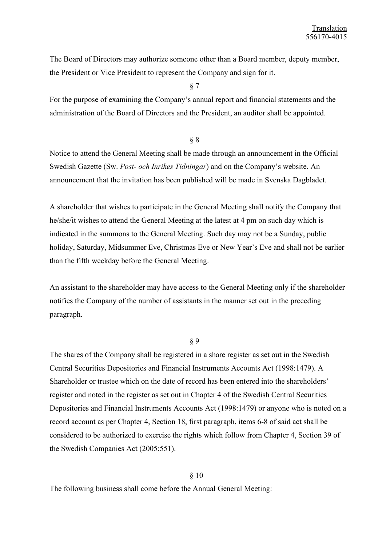The Board of Directors may authorize someone other than a Board member, deputy member, the President or Vice President to represent the Company and sign for it.

§ 7

For the purpose of examining the Company's annual report and financial statements and the administration of the Board of Directors and the President, an auditor shall be appointed.

#### § 8

Notice to attend the General Meeting shall be made through an announcement in the Official Swedish Gazette (Sw. *Post- och Inrikes Tidningar*) and on the Company's website. An announcement that the invitation has been published will be made in Svenska Dagbladet.

A shareholder that wishes to participate in the General Meeting shall notify the Company that he/she/it wishes to attend the General Meeting at the latest at 4 pm on such day which is indicated in the summons to the General Meeting. Such day may not be a Sunday, public holiday, Saturday, Midsummer Eve, Christmas Eve or New Year's Eve and shall not be earlier than the fifth weekday before the General Meeting.

An assistant to the shareholder may have access to the General Meeting only if the shareholder notifies the Company of the number of assistants in the manner set out in the preceding paragraph.

# § 9

The shares of the Company shall be registered in a share register as set out in the Swedish Central Securities Depositories and Financial Instruments Accounts Act (1998:1479). A Shareholder or trustee which on the date of record has been entered into the shareholders' register and noted in the register as set out in Chapter 4 of the Swedish Central Securities Depositories and Financial Instruments Accounts Act (1998:1479) or anyone who is noted on a record account as per Chapter 4, Section 18, first paragraph, items 6-8 of said act shall be considered to be authorized to exercise the rights which follow from Chapter 4, Section 39 of the Swedish Companies Act (2005:551).

### § 10

The following business shall come before the Annual General Meeting: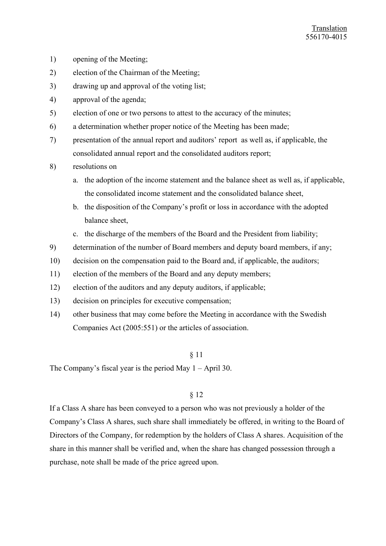- 1) opening of the Meeting;
- 2) election of the Chairman of the Meeting;
- 3) drawing up and approval of the voting list;
- 4) approval of the agenda;
- 5) election of one or two persons to attest to the accuracy of the minutes;
- 6) a determination whether proper notice of the Meeting has been made;
- 7) presentation of the annual report and auditors' report as well as, if applicable, the consolidated annual report and the consolidated auditors report;
- 8) resolutions on
	- a. the adoption of the income statement and the balance sheet as well as, if applicable, the consolidated income statement and the consolidated balance sheet,
	- b. the disposition of the Company's profit or loss in accordance with the adopted balance sheet,
	- c. the discharge of the members of the Board and the President from liability;
- 9) determination of the number of Board members and deputy board members, if any;
- 10) decision on the compensation paid to the Board and, if applicable, the auditors;
- 11) election of the members of the Board and any deputy members;
- 12) election of the auditors and any deputy auditors, if applicable;
- 13) decision on principles for executive compensation;
- 14) other business that may come before the Meeting in accordance with the Swedish Companies Act (2005:551) or the articles of association.

# § 11

The Company's fiscal year is the period May  $1 -$ April 30.

# § 12

If a Class A share has been conveyed to a person who was not previously a holder of the Company's Class A shares, such share shall immediately be offered, in writing to the Board of Directors of the Company, for redemption by the holders of Class A shares. Acquisition of the share in this manner shall be verified and, when the share has changed possession through a purchase, note shall be made of the price agreed upon.